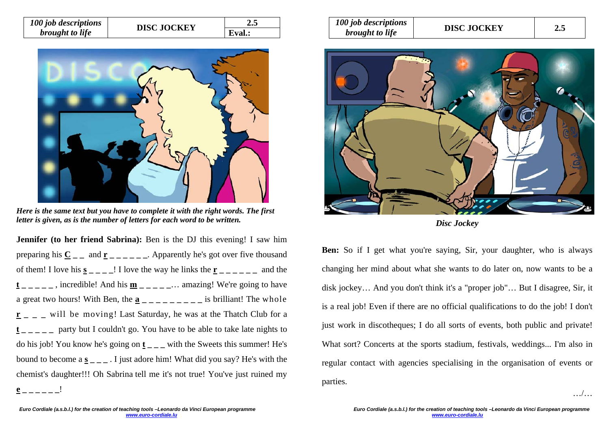| 100 job descriptions   | <b>DISC JOCKEY</b> | <b>4.5</b> |
|------------------------|--------------------|------------|
| <i>brought to life</i> |                    | Eval.:     |



*Here is the same text but you have to complete it with the right words. The first letter is given, as is the number of letters for each word to be written.* 

**Jennifer (to her friend Sabrina):** Ben is the DJ this evening! I saw him preparing his  $\underline{\mathbf{C}}$  \_ \_ and  $\underline{\mathbf{r}}$  \_ \_ \_ \_ \_ \_ \_ Apparently he's got over five thousand of them! I love his  $\underline{\mathbf{s}}$  \_ \_ \_  $\overline{\mathbf{s}}$  l love the way he links the  $\underline{\mathbf{r}}$  \_ \_ \_ \_ \_ and the  $t_{-}$   $\alpha$ , incredible! And his  $\underline{\mathbf{m}}$   $\cdots$  amazing! We're going to have a great two hours! With Ben, the  $\underline{\mathbf{a}}$  \_\_\_\_\_\_\_\_ is brilliant! The whole **r \_ \_ \_** will be moving! Last Saturday, he was at the Thatch Club for a  $t_{ - - - -}$  party but I couldn't go. You have to be able to take late nights to do his job! You know he's going on **t \_ \_ \_** with the Sweets this summer! He's bound to become a  $\underline{s}_{\text{max}}$ . I just adore him! What did you say? He's with the chemist's daughter!!! Oh Sabrina tell me it's not true! You've just ruined my **e \_ \_ \_ \_ \_ \_**!

| 100 job descriptions   | <b>DISC JOCKEY</b> |     |
|------------------------|--------------------|-----|
| <i>brought to life</i> |                    | 2.5 |



*Disc Jockey* 

**Ben:** So if I get what you're saying, Sir, your daughter, who is always changing her mind about what she wants to do later on, now wants to be a disk jockey… And you don't think it's a "proper job"… But I disagree, Sir, it is a real job! Even if there are no official qualifications to do the job! I don't just work in discotheques; I do all sorts of events, both public and private! What sort? Concerts at the sports stadium, festivals, weddings... I'm also in regular contact with agencies specialising in the organisation of events or parties.

…/…